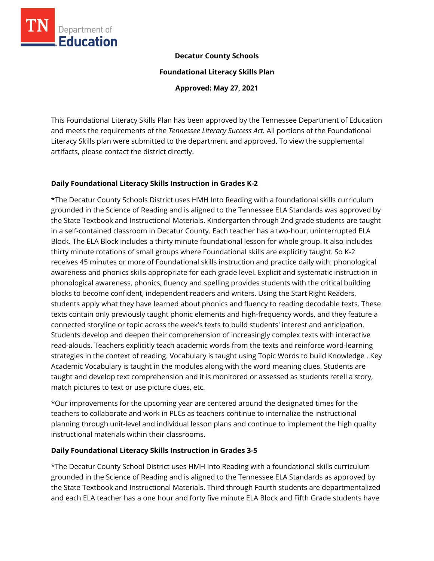

## **Decatur County Schools**

**Foundational Literacy Skills Plan**

**Approved: May 27, 2021**

This Foundational Literacy Skills Plan has been approved by the Tennessee Department of Education and meets the requirements of the *Tennessee Literacy Success Act.* All portions of the Foundational Literacy Skills plan were submitted to the department and approved. To view the supplemental artifacts, please contact the district directly.

## **Daily Foundational Literacy Skills Instruction in Grades K-2**

\*The Decatur County Schools District uses HMH Into Reading with a foundational skills curriculum grounded in the Science of Reading and is aligned to the Tennessee ELA Standards was approved by the State Textbook and Instructional Materials. Kindergarten through 2nd grade students are taught in a self-contained classroom in Decatur County. Each teacher has a two-hour, uninterrupted ELA Block. The ELA Block includes a thirty minute foundational lesson for whole group. It also includes thirty minute rotations of small groups where Foundational skills are explicitly taught. So K-2 receives 45 minutes or more of Foundational skills instruction and practice daily with: phonological awareness and phonics skills appropriate for each grade level. Explicit and systematic instruction in phonological awareness, phonics, fluency and spelling provides students with the critical building blocks to become confident, independent readers and writers. Using the Start Right Readers, students apply what they have learned about phonics and fluency to reading decodable texts. These texts contain only previously taught phonic elements and high-frequency words, and they feature a connected storyline or topic across the week's texts to build students' interest and anticipation. Students develop and deepen their comprehension of increasingly complex texts with interactive read-alouds. Teachers explicitly teach academic words from the texts and reinforce word-learning strategies in the context of reading. Vocabulary is taught using Topic Words to build Knowledge . Key Academic Vocabulary is taught in the modules along with the word meaning clues. Students are taught and develop text comprehension and it is monitored or assessed as students retell a story, match pictures to text or use picture clues, etc.

\*Our improvements for the upcoming year are centered around the designated times for the teachers to collaborate and work in PLCs as teachers continue to internalize the instructional planning through unit-level and individual lesson plans and continue to implement the high quality instructional materials within their classrooms.

## **Daily Foundational Literacy Skills Instruction in Grades 3-5**

\*The Decatur County School District uses HMH Into Reading with a foundational skills curriculum grounded in the Science of Reading and is aligned to the Tennessee ELA Standards as approved by the State Textbook and Instructional Materials. Third through Fourth students are departmentalized and each ELA teacher has a one hour and forty five minute ELA Block and Fifth Grade students have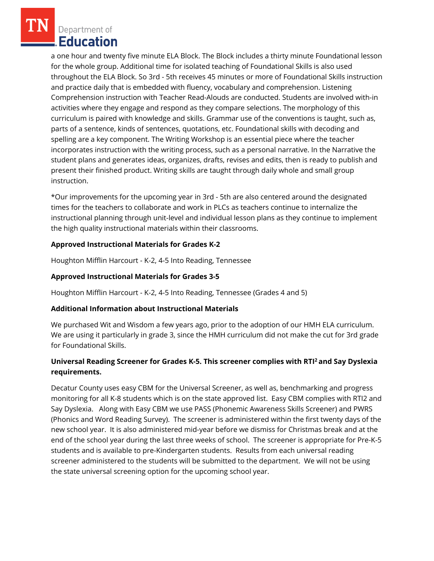Department of Education

a one hour and twenty five minute ELA Block. The Block includes a thirty minute Foundational lesson for the whole group. Additional time for isolated teaching of Foundational Skills is also used throughout the ELA Block. So 3rd - 5th receives 45 minutes or more of Foundational Skills instruction and practice daily that is embedded with fluency, vocabulary and comprehension. Listening Comprehension instruction with Teacher Read-Alouds are conducted. Students are involved with-in activities where they engage and respond as they compare selections. The morphology of this curriculum is paired with knowledge and skills. Grammar use of the conventions is taught, such as, parts of a sentence, kinds of sentences, quotations, etc. Foundational skills with decoding and spelling are a key component. The Writing Workshop is an essential piece where the teacher incorporates instruction with the writing process, such as a personal narrative. In the Narrative the student plans and generates ideas, organizes, drafts, revises and edits, then is ready to publish and present their finished product. Writing skills are taught through daily whole and small group instruction.

\*Our improvements for the upcoming year in 3rd - 5th are also centered around the designated times for the teachers to collaborate and work in PLCs as teachers continue to internalize the instructional planning through unit-level and individual lesson plans as they continue to implement the high quality instructional materials within their classrooms.

## **Approved Instructional Materials for Grades K-2**

Houghton Mifflin Harcourt - K-2, 4-5 Into Reading, Tennessee

## **Approved Instructional Materials for Grades 3-5**

Houghton Mifflin Harcourt - K-2, 4-5 Into Reading, Tennessee (Grades 4 and 5)

## **Additional Information about Instructional Materials**

We purchased Wit and Wisdom a few years ago, prior to the adoption of our HMH ELA curriculum. We are using it particularly in grade 3, since the HMH curriculum did not make the cut for 3rd grade for Foundational Skills.

# **Universal Reading Screener for Grades K-5. This screener complies with RTI<sup>2</sup>and Say Dyslexia requirements.**

Decatur County uses easy CBM for the Universal Screener, as well as, benchmarking and progress monitoring for all K-8 students which is on the state approved list. Easy CBM complies with RTI2 and Say Dyslexia. Along with Easy CBM we use PASS (Phonemic Awareness Skills Screener) and PWRS (Phonics and Word Reading Survey). The screener is administered within the first twenty days of the new school year. It is also administered mid-year before we dismiss for Christmas break and at the end of the school year during the last three weeks of school. The screener is appropriate for Pre-K-5 students and is available to pre-Kindergarten students. Results from each universal reading screener administered to the students will be submitted to the department. We will not be using the state universal screening option for the upcoming school year.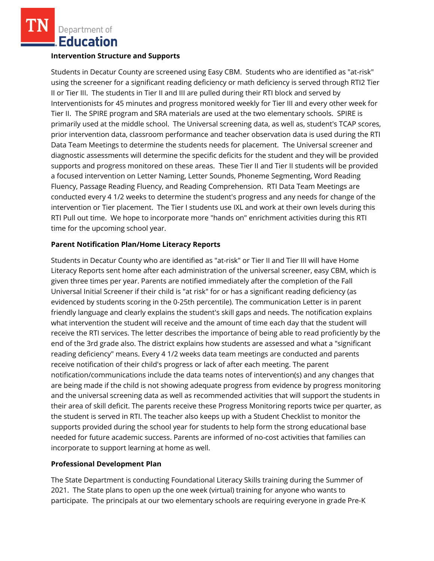Department of **Education** 

#### **Intervention Structure and Supports**

Students in Decatur County are screened using Easy CBM. Students who are identified as "at-risk" using the screener for a significant reading deficiency or math deficiency is served through RTI2 Tier II or Tier III. The students in Tier II and III are pulled during their RTI block and served by Interventionists for 45 minutes and progress monitored weekly for Tier III and every other week for Tier II. The SPIRE program and SRA materials are used at the two elementary schools. SPIRE is primarily used at the middle school. The Universal screening data, as well as, student's TCAP scores, prior intervention data, classroom performance and teacher observation data is used during the RTI Data Team Meetings to determine the students needs for placement. The Universal screener and diagnostic assessments will determine the specific deficits for the student and they will be provided supports and progress monitored on these areas. These Tier II and Tier II students will be provided a focused intervention on Letter Naming, Letter Sounds, Phoneme Segmenting, Word Reading Fluency, Passage Reading Fluency, and Reading Comprehension. RTI Data Team Meetings are conducted every 4 1/2 weeks to determine the student's progress and any needs for change of the intervention or Tier placement. The Tier I students use IXL and work at their own levels during this RTI Pull out time. We hope to incorporate more "hands on" enrichment activities during this RTI time for the upcoming school year.

## **Parent Notification Plan/Home Literacy Reports**

Students in Decatur County who are identified as "at-risk" or Tier II and Tier III will have Home Literacy Reports sent home after each administration of the universal screener, easy CBM, which is given three times per year. Parents are notified immediately after the completion of the Fall Universal Initial Screener if their child is "at risk" for or has a significant reading deficiency (as evidenced by students scoring in the 0-25th percentile). The communication Letter is in parent friendly language and clearly explains the student's skill gaps and needs. The notification explains what intervention the student will receive and the amount of time each day that the student will receive the RTI services. The letter describes the importance of being able to read proficiently by the end of the 3rd grade also. The district explains how students are assessed and what a "significant reading deficiency" means. Every 4 1/2 weeks data team meetings are conducted and parents receive notification of their child's progress or lack of after each meeting. The parent notification/communications include the data teams notes of intervention(s) and any changes that are being made if the child is not showing adequate progress from evidence by progress monitoring and the universal screening data as well as recommended activities that will support the students in their area of skill deficit. The parents receive these Progress Monitoring reports twice per quarter, as the student is served in RTI. The teacher also keeps up with a Student Checklist to monitor the supports provided during the school year for students to help form the strong educational base needed for future academic success. Parents are informed of no-cost activities that families can incorporate to support learning at home as well.

## **Professional Development Plan**

The State Department is conducting Foundational Literacy Skills training during the Summer of 2021. The State plans to open up the one week (virtual) training for anyone who wants to participate. The principals at our two elementary schools are requiring everyone in grade Pre-K